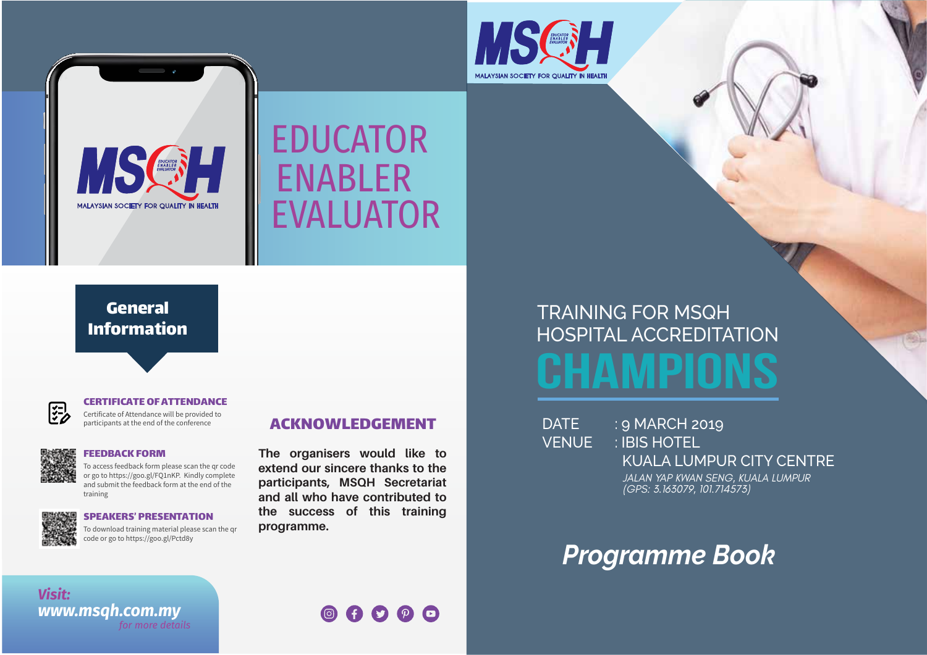



## ENABLER EDUCATOR EVALUATOR

#### General Information



#### CERTIFICATE OF ATTENDANCE

Certificate of Attendance will be provided to participants at the end of the conference



#### FEEDBACK FORM

To access feedback form please scan the qr code or go to https://goo.gl/FQ1nKP. Kindly complete and submit the feedback form at the end of the training



#### SPEAKERS' PRESENTATION

To download training material please scan the qr code or go to https://goo.gl/Pctd8y

#### ACKNOWLEDGEMENT

**The organisers would like to extend our sincere thanks to the participants, MSQH Secretariat and all who have contributed to the success of this training programme.**

# **CHAMPIONS** HOSPITAL ACCREDITATION TRAINING FOR MSQH

DATE : 9 MARCH 2019 VENUE : IBIS HOTEL KUALA LUMPUR CITY CENTRE *JALAN YAP KWAN SENG, KUALA LUMPUR (GPS: 3.163079, 101.714573)*

### *Programme Book*

*Visit: for more details www.msqh.com.my*

00000